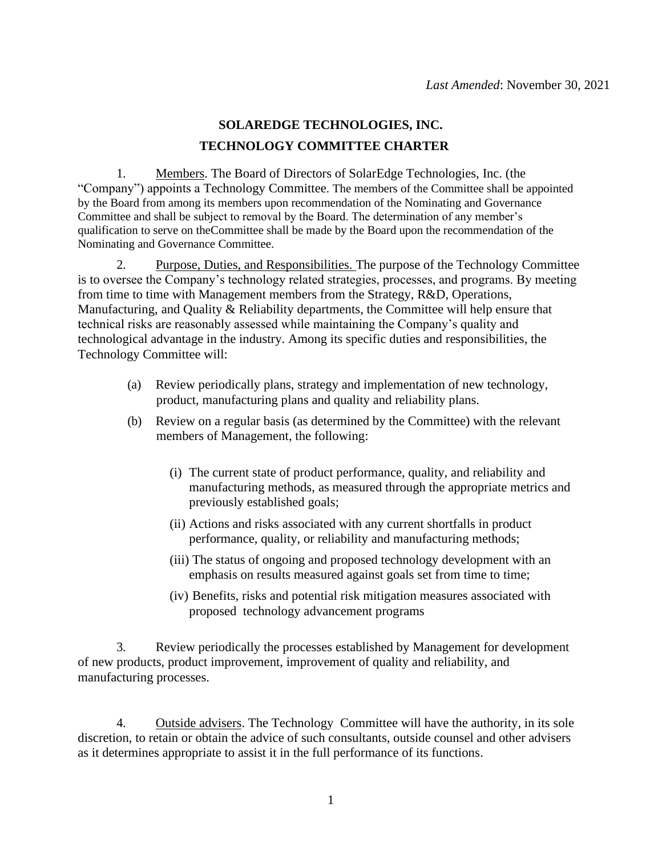## **SOLAREDGE TECHNOLOGIES, INC. TECHNOLOGY COMMITTEE CHARTER**

1. Members. The Board of Directors of SolarEdge Technologies, Inc. (the "Company") appoints a Technology Committee. The members of the Committee shall be appointed by the Board from among its members upon recommendation of the Nominating and Governance Committee and shall be subject to removal by the Board. The determination of any member's qualification to serve on theCommittee shall be made by the Board upon the recommendation of the Nominating and Governance Committee.

2. Purpose, Duties, and Responsibilities. The purpose of the Technology Committee is to oversee the Company's technology related strategies, processes, and programs. By meeting from time to time with Management members from the Strategy, R&D, Operations, Manufacturing, and Quality & Reliability departments, the Committee will help ensure that technical risks are reasonably assessed while maintaining the Company's quality and technological advantage in the industry. Among its specific duties and responsibilities, the Technology Committee will:

- (a) Review periodically plans, strategy and implementation of new technology, product, manufacturing plans and quality and reliability plans.
- (b) Review on a regular basis (as determined by the Committee) with the relevant members of Management, the following:
	- (i) The current state of product performance, quality, and reliability and manufacturing methods, as measured through the appropriate metrics and previously established goals;
	- (ii) Actions and risks associated with any current shortfalls in product performance, quality, or reliability and manufacturing methods;
	- (iii) The status of ongoing and proposed technology development with an emphasis on results measured against goals set from time to time;
	- (iv) Benefits, risks and potential risk mitigation measures associated with proposed technology advancement programs

3. Review periodically the processes established by Management for development of new products, product improvement, improvement of quality and reliability, and manufacturing processes.

4. Outside advisers. The Technology Committee will have the authority, in its sole discretion, to retain or obtain the advice of such consultants, outside counsel and other advisers as it determines appropriate to assist it in the full performance of its functions.